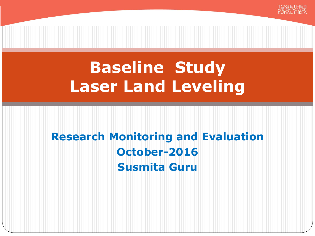

# **Research Monitoring and Evaluation October-2016 Susmita Guru**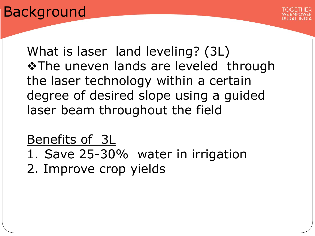# Background



What is laser land leveling? (3L) **\*The uneven lands are leveled through** the laser technology within a certain degree of desired slope using a guided laser beam throughout the field

## Benefits of 3L

1. Save 25-30% water in irrigation 2. Improve crop yields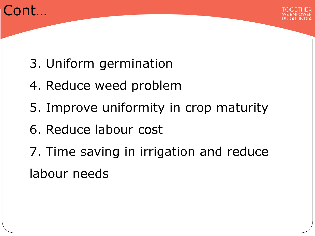



- 3. Uniform germination
- 4. Reduce weed problem
- 5. Improve uniformity in crop maturity
- 6. Reduce labour cost
- 7. Time saving in irrigation and reduce labour needs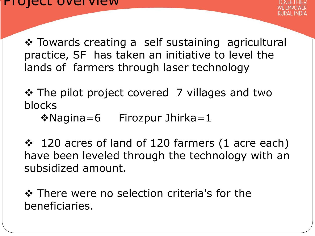Towards creating a self sustaining agricultural practice, SF has taken an initiative to level the lands of farmers through laser technology

❖ The pilot project covered 7 villages and two blocks

 $\triangle$ Nagina=6 Firozpur Jhirka=1

❖ 120 acres of land of 120 farmers (1 acre each) have been leveled through the technology with an subsidized amount.

**❖ There were no selection criteria's for the** beneficiaries.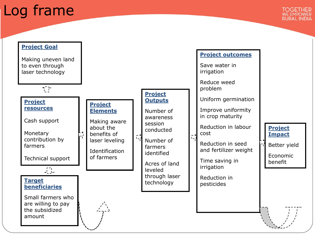# Log frame

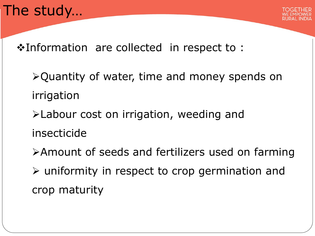

Information are collected in respect to :

- Quantity of water, time and money spends on irrigation
- Labour cost on irrigation, weeding and
- insecticide
- Amount of seeds and fertilizers used on farming uniformity in respect to crop germination and crop maturity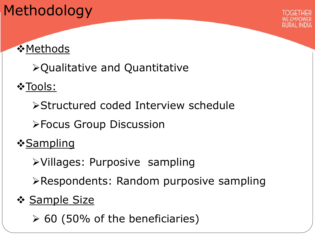# Methodology



## **☆Methods**

Qualitative and Quantitative

❖Tools:

Structured coded Interview schedule

Focus Group Discussion

<u>**❖Sampling**</u>

Villages: Purposive sampling

Respondents: Random purposive sampling

## ❖ Sample Size

 $\geq 60$  (50% of the beneficiaries)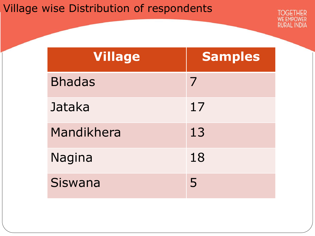## Village wise Distribution of respondents

| <b>Village</b> | <b>Samples</b> |
|----------------|----------------|
| <b>Bhadas</b>  | 7              |
| Jataka         | 17             |
| Mandikhera     | 13             |
| Nagina         | 18             |
| Siswana        | 5              |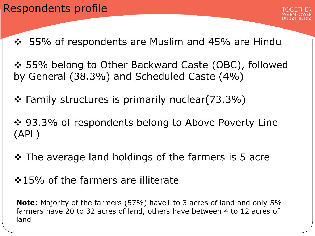#### Respondents profile



- ❖ 55% of respondents are Muslim and 45% are Hindu
- 55% belong to Other Backward Caste (OBC), followed by General (38.3%) and Scheduled Caste (4%)
- Family structures is primarily nuclear(73.3%)
- ❖ 93.3% of respondents belong to Above Poverty Line (APL)
- $\cdot$  The average land holdings of the farmers is 5 acre
- ❖15% of the farmers are illiterate

**Note**: Majority of the farmers (57%) have1 to 3 acres of land and only 5% farmers have 20 to 32 acres of land, others have between 4 to 12 acres of land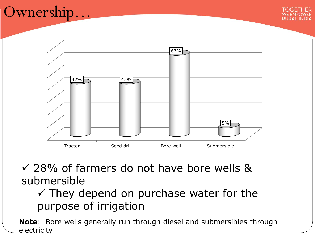# Ownership…



 28% of farmers do not have bore wells & submersible

## $\checkmark$  They depend on purchase water for the purpose of irrigation

**Note**: Bore wells generally run through diesel and submersibles through electricity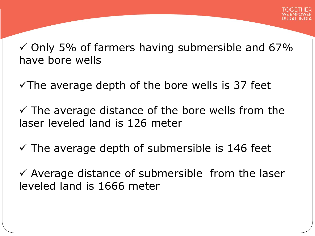$\checkmark$  Only 5% of farmers having submersible and 67% have bore wells

 $\sqrt{T}$ he average depth of the bore wells is 37 feet

 $\checkmark$  The average distance of the bore wells from the laser leveled land is 126 meter

 $\checkmark$  The average depth of submersible is 146 feet

 $\checkmark$  Average distance of submersible from the laser leveled land is 1666 meter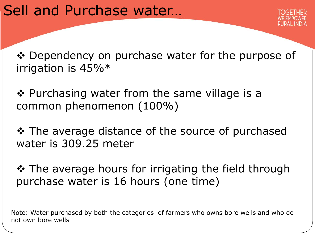❖ Dependency on purchase water for the purpose of irrigation is 45%\*

❖ Purchasing water from the same village is a common phenomenon (100%)

❖ The average distance of the source of purchased water is 309.25 meter

❖ The average hours for irrigating the field through purchase water is 16 hours (one time)

Note: Water purchased by both the categories of farmers who owns bore wells and who do not own bore wells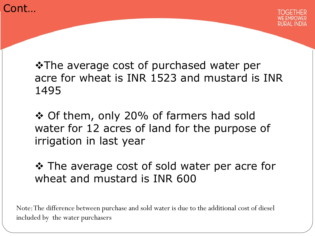



**\*The average cost of purchased water per** acre for wheat is INR 1523 and mustard is INR 1495

 Of them, only 20% of farmers had sold water for 12 acres of land for the purpose of irrigation in last year

❖ The average cost of sold water per acre for wheat and mustard is INR 600

Note: The difference between purchase and sold water is due to the additional cost of diesel included by the water purchasers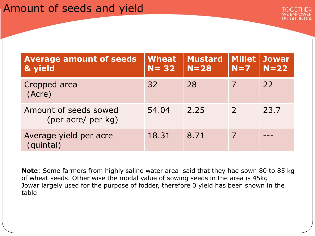| <b>Average amount of seeds</b><br>& yield   | <b>Wheat</b><br>$N = 32$ | <b>Mustard</b><br>$N = 28$ | <b>Millet</b><br>$N=7$ | <b>Jowar</b><br>$N=22$ |
|---------------------------------------------|--------------------------|----------------------------|------------------------|------------------------|
| Cropped area<br>(Acre)                      | 32                       | 28                         |                        | 22                     |
| Amount of seeds sowed<br>(per acre/ per kg) | 54.04                    | 2.25                       | $\mathcal{P}$          | 23.7                   |
| Average yield per acre<br>(quintal)         | 18.31                    | 8.71                       | 7                      |                        |

**Note**: Some farmers from highly saline water area said that they had sown 80 to 85 kg of wheat seeds. Other wise the modal value of sowing seeds in the area is 45kg Jowar largely used for the purpose of fodder, therefore 0 yield has been shown in the table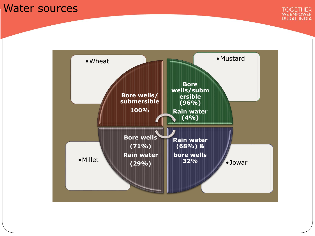#### Water sources



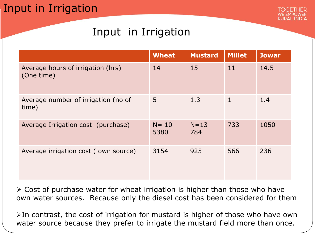### Input in Irrigation



## Input in Irrigation

|                                                 | <b>Wheat</b>     | <b>Mustard</b>  | <b>Millet</b> | <b>Jowar</b> |
|-------------------------------------------------|------------------|-----------------|---------------|--------------|
| Average hours of irrigation (hrs)<br>(One time) | 14               | 15              | 11            | 14.5         |
| Average number of irrigation (no of<br>time)    | 5                | 1.3             | $\mathbf{1}$  | 1.4          |
| Average Irrigation cost (purchase)              | $N = 10$<br>5380 | $N = 13$<br>784 | 733           | 1050         |
| Average irrigation cost (own source)            | 3154             | 925             | 566           | 236          |

 $\geq$  Cost of purchase water for wheat irrigation is higher than those who have own water sources. Because only the diesel cost has been considered for them

 $\triangleright$ In contrast, the cost of irrigation for mustard is higher of those who have own water source because they prefer to irrigate the mustard field more than once.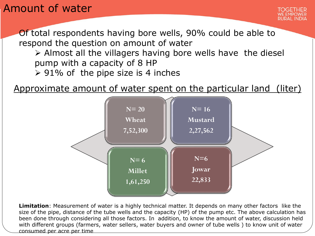### Amount of water

Of total respondents having bore wells, 90% could be able to respond the question on amount of water

- $\triangleright$  Almost all the villagers having bore wells have the diesel pump with a capacity of 8 HP
- $\geq 91\%$  of the pipe size is 4 inches

Approximate amount of water spent on the particular land (liter)



**Limitation**: Measurement of water is a highly technical matter. It depends on many other factors like the size of the pipe, distance of the tube wells and the capacity (HP) of the pump etc. The above calculation has been done through considering all those factors. In addition, to know the amount of water, discussion held with different groups (farmers, water sellers, water buyers and owner of tube wells ) to know unit of water consumed per acre per time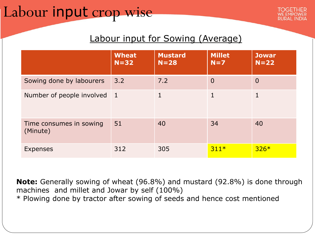# Labour input crop wise

#### Labour input for Sowing (Average)

|                                     | <b>Wheat</b><br>$N = 32$ | <b>Mustard</b><br>$N = 28$ | <b>Millet</b><br>$N=7$ | <b>Jowar</b><br>$N=22$ |
|-------------------------------------|--------------------------|----------------------------|------------------------|------------------------|
| Sowing done by labourers            | 3.2                      | 7.2                        | $\Omega$               | $\Omega$               |
| Number of people involved           | $\vert$ 1                |                            | 1                      |                        |
| Time consumes in sowing<br>(Minute) | 51                       | 40                         | 34                     | 40                     |
| <b>Expenses</b>                     | 312                      | 305                        | $311*$                 | $326*$                 |

**Note:** Generally sowing of wheat (96.8%) and mustard (92.8%) is done through machines and millet and Jowar by self (100%) \* Plowing done by tractor after sowing of seeds and hence cost mentioned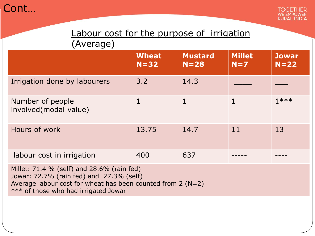

#### Labour cost for the purpose of irrigation (Average)

|                                           | <b>Wheat</b><br>$N = 32$ | <b>Mustard</b><br>$N = 28$ | <b>Millet</b><br>$N=7$ | <b>Jowar</b><br>$N = 22$ |
|-------------------------------------------|--------------------------|----------------------------|------------------------|--------------------------|
| Irrigation done by labourers              | 3.2                      | 14.3                       |                        |                          |
| Number of people<br>involved(modal value) |                          |                            |                        | $1***$                   |
| Hours of work                             | 13.75                    | 14.7                       | 11                     | 13                       |
| labour cost in irrigation                 | 400                      | 637                        |                        |                          |

Millet: 71.4 % (self) and 28.6% (rain fed) Jowar: 72.7% (rain fed) and 27.3% (self) Average labour cost for wheat has been counted from 2 (N=2) \*\*\* of those who had irrigated Jowar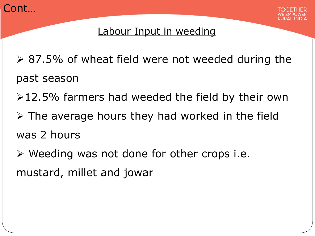



#### Labour Input in weeding

- ▶ 87.5% of wheat field were not weeded during the past season
- $\geq 12.5\%$  farmers had weeded the field by their own
- $\triangleright$  The average hours they had worked in the field was 2 hours
- $\triangleright$  Weeding was not done for other crops i.e. mustard, millet and jowar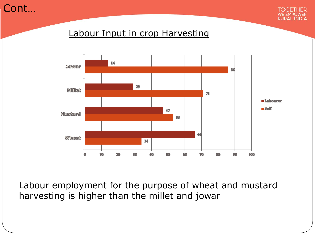Cont…



#### Labour Input in crop Harvesting



Labour employment for the purpose of wheat and mustard harvesting is higher than the millet and jowar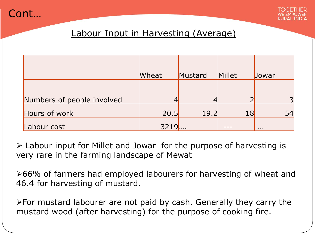



#### Labour Input in Harvesting (Average)

|                            | Wheat | Mustard | Millet | Jowar    |
|----------------------------|-------|---------|--------|----------|
| Numbers of people involved |       |         |        |          |
| Hours of work              | 20.5  | 19.2    | 18     | 54       |
| Labour cost                | 3219  |         |        | $\cdots$ |

 Labour input for Millet and Jowar for the purpose of harvesting is very rare in the farming landscape of Mewat

≻66% of farmers had employed labourers for harvesting of wheat and 46.4 for harvesting of mustard.

For mustard labourer are not paid by cash. Generally they carry the mustard wood (after harvesting) for the purpose of cooking fire.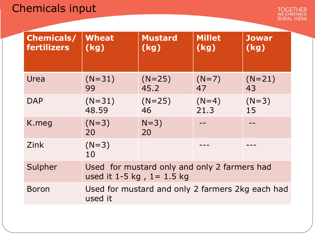## Chemicals input

| <b>Chemicals/</b><br>fertilizers | <b>Wheat</b><br>(kg)                                                         | <b>Mustard</b><br>(kg) | <b>Millet</b><br>(kg) | <b>Jowar</b><br>(kg) |
|----------------------------------|------------------------------------------------------------------------------|------------------------|-----------------------|----------------------|
| Urea                             | $(N=31)$<br>99                                                               | $(N=25)$<br>45.2       | $(N=7)$<br>47         | $(N=21)$<br>43       |
| <b>DAP</b>                       | $(N=31)$<br>48.59                                                            | $(N=25)$<br>46         | $(N=4)$<br>21.3       | $(N=3)$<br>15        |
| K.meg                            | $(N=3)$<br>20                                                                | $N=3)$<br>20           |                       |                      |
| Zink                             | $(N=3)$<br>10                                                                |                        |                       |                      |
| Sulpher                          | Used for mustard only and only 2 farmers had<br>used it 1-5 kg, $1 = 1.5$ kg |                        |                       |                      |
| <b>Boron</b>                     | Used for mustard and only 2 farmers 2kg each had<br>used it                  |                        |                       |                      |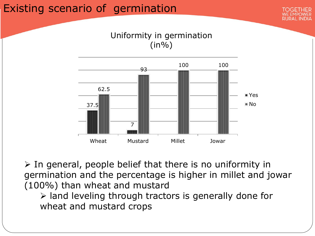### Existing scenario of germination



Uniformity in germination  $(in\%)$ 



 $\triangleright$  In general, people belief that there is no uniformity in germination and the percentage is higher in millet and jowar (100%) than wheat and mustard

 $\triangleright$  land leveling through tractors is generally done for wheat and mustard crops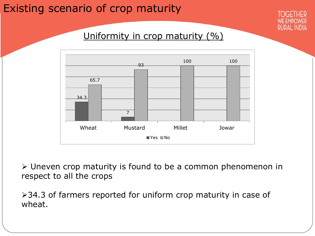### Existing scenario of crop maturity



#### Uniformity in crop maturity (%)



 Uneven crop maturity is found to be a common phenomenon in respect to all the crops

▶ 34.3 of farmers reported for uniform crop maturity in case of wheat.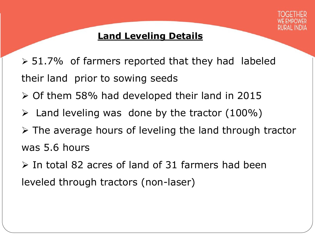

#### **Land Leveling Details**

- $>$  51.7% of farmers reported that they had labeled their land prior to sowing seeds
- $\geq$  Of them 58% had developed their land in 2015
- $\triangleright$  Land leveling was done by the tractor (100%)
- $\triangleright$  The average hours of leveling the land through tractor was 5.6 hours
- $\triangleright$  In total 82 acres of land of 31 farmers had been leveled through tractors (non-laser)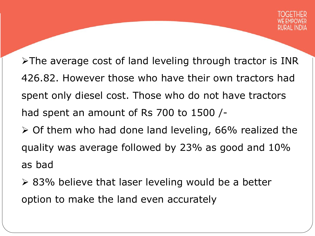$\triangleright$ The average cost of land leveling through tractor is INR 426.82. However those who have their own tractors had spent only diesel cost. Those who do not have tractors had spent an amount of Rs 700 to 1500 /-

- $\geq$  Of them who had done land leveling, 66% realized the quality was average followed by 23% as good and 10% as bad
- $\geq$  83% believe that laser leveling would be a better option to make the land even accurately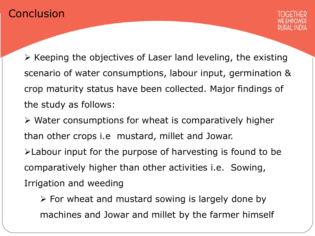#### **Conclusion**



 $\triangleright$  Keeping the objectives of Laser land leveling, the existing scenario of water consumptions, labour input, germination & crop maturity status have been collected. Major findings of the study as follows:

 $\triangleright$  Water consumptions for wheat is comparatively higher than other crops i.e mustard, millet and Jowar. Labour input for the purpose of harvesting is found to be comparatively higher than other activities i.e. Sowing, Irrigation and weeding

 $\triangleright$  For wheat and mustard sowing is largely done by machines and Jowar and millet by the farmer himself